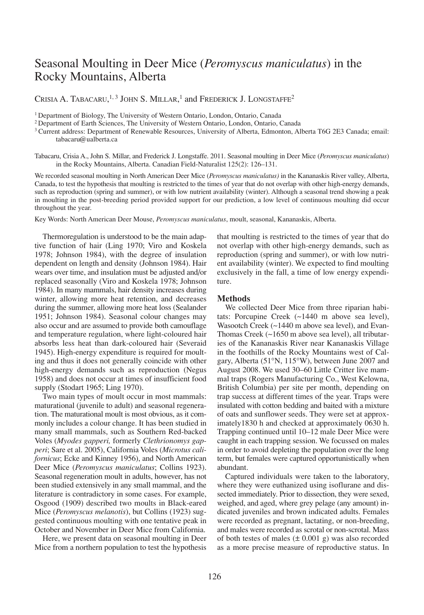# Seasonal Moulting in Deer Mice (*Peromyscus maniculatus*) in the Rocky Mountains, Alberta

CRISIA A. TABACARU.<sup>1, 3</sup> JOHN S. MILLAR.<sup>1</sup> and FREDERICK J. LONGSTAFFE<sup>2</sup>

<sup>1</sup> Department of Biology, The University of Western Ontario, London, Ontario, Canada

<sup>2</sup> Department of Earth Sciences, The University of Western Ontario, London, Ontario, Canada

<sup>3</sup> Current address: Department of Renewable Resources, University of Alberta, Edmonton, Alberta T6G 2E3 Canada; email: tabacaru@ualberta.ca

Tabacaru, Crisia A., John S. Millar, and Frederick J. Longstaffe. 2011. Seasonal moulting in Deer Mice (*Peromyscus maniculatus*) in the Rocky Mountains, Alberta. Canadian Field-Naturalist 125(2): 126–131.

We recorded seasonal moulting in North American Deer Mice (*Peromyscus maniculatus)* in the Kananaskis River valley, Alberta, Canada, to test the hypothesis that moulting is restricted to the times of year that do not overlap with other high-energy demands, such as reproduction (spring and summer), or with low nutrient availability (winter). Although a seasonal trend showing a peak in moulting in the post-breeding period provided support for our prediction, a low level of continuous moulting did occur throughout the year.

Key Words: North American Deer Mouse, *Peromyscus maniculatus*, moult, seasonal, Kananaskis, Alberta.

Thermoregulation is understood to be the main adaptive function of hair (Ling 1970; Viro and Koskela 1978; Johnson 1984), with the degree of insulation dependent on length and density (Johnson 1984). Hair wears over time, and insulation must be adjusted and/or replaced seasonally (Viro and Koskela 1978; Johnson 1984). In many mammals, hair density increases during winter, allowing more heat retention, and decreases during the summer, allowing more heat loss (Sealander 1951; Johnson 1984). Seasonal colour changes may also occur and are assumed to provide both camouflage and temperature regulation, where light-coloured hair absorbs less heat than dark-coloured hair (Severaid 1945). High-energy expenditure is required for moulting and thus it does not generally coincide with other high-energy demands such as reproduction (Negus 1958) and does not occur at times of insufficient food supply (Stodart 1965; Ling 1970).

Two main types of moult occur in most mammals: maturational (juvenile to adult) and seasonal regeneration. The maturational moult is most obvious, as it commonly includes a colour change. It has been studied in many small mammals, such as Southern Red-backed Voles (*Myodes gapperi,* formerly *Clethrionomys gapperi*; Sare et al. 2005), California Voles (*Microtus californicus*; Ecke and Kinney 1956), and North American Deer Mice (*Peromyscus maniculatus*; Collins 1923). Seasonal regeneration moult in adults, however, has not been studied extensively in any small mammal, and the literature is contradictory in some cases. For example, Osgood (1909) described two moults in Black-eared Mice (*Peromyscus melanotis*), but Collins (1923) suggested continuous moulting with one tentative peak in October and November in Deer Mice from California.

Here, we present data on seasonal moulting in Deer Mice from a northern population to test the hypothesis

that moulting is restricted to the times of year that do not overlap with other high-energy demands, such as reproduction (spring and summer), or with low nutrient availability (winter). We expected to find moulting exclusively in the fall, a time of low energy expenditure.

### **Methods**

We collected Deer Mice from three riparian habitats: Porcupine Creek (~1440 m above sea level), Wasootch Creek (~1440 m above sea level), and Evan-Thomas Creek (~1650 m above sea level), all tributaries of the Kananaskis River near Kananaskis Village in the foothills of the Rocky Mountains west of Calgary, Alberta (51°N, 115°W), between June 2007 and August 2008. We used 30–60 Little Critter live mammal traps (Rogers Manufacturing Co., West Kelowna, British Columbia) per site per month, depending on trap success at different times of the year. Traps were insulated with cotton bedding and baited with a mixture of oats and sunflower seeds. They were set at approximately1830 h and checked at approximately 0630 h. Trapping continued until 10–12 male Deer Mice were caught in each trapping session. We focussed on males in order to avoid depleting the population over the long term, but females were captured opportunistically when abundant.

Captured individuals were taken to the laboratory, where they were euthanized using isoflurane and dissected immediately. Prior to dissection, they were sexed, weighed, and aged, where grey pelage (any amount) indicated juveniles and brown indicated adults. Females were recorded as pregnant, lactating, or non-breeding, and males were recorded as scrotal or non-scrotal. Mass of both testes of males  $(\pm 0.001 \text{ g})$  was also recorded as a more precise measure of reproductive status. In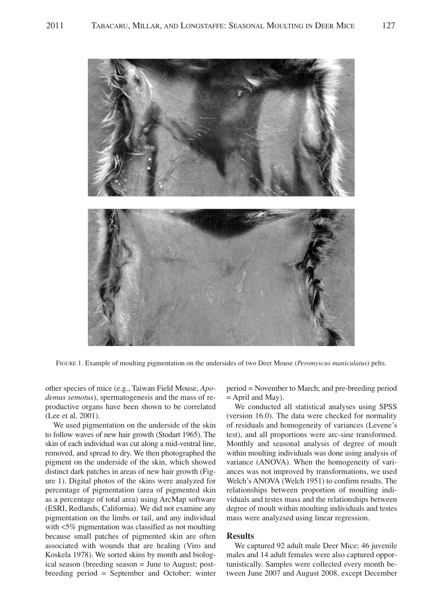

FIGURE 1. Example of moulting pigmentation on the undersides of two Deer Mouse (*Peromyscus maniculatus*) pelts.

other species of mice (e.g., Taiwan Field Mouse, *Apodemus semotus*), spermatogenesis and the mass of reproductive organs have been shown to be correlated (Lee et al. 2001).

We used pigmentation on the underside of the skin to follow waves of new hair growth (Stodart 1965). The skin of each individual was cut along a mid-ventral line, removed, and spread to dry. We then photographed the pigment on the underside of the skin, which showed distinct dark patches in areas of new hair growth (Figure 1). Digital photos of the skins were analyzed for percentage of pigmentation (area of pigmented skin as a percentage of total area) using ArcMap software (ESRI, Redlands, California). We did not examine any pigmentation on the limbs or tail, and any individual with <5% pigmentation was classified as not moulting because small patches of pigmented skin are often associated with wounds that are healing (Viro and Koskela 1978). We sorted skins by month and biological season (breeding season = June to August; postbreeding period = September and October; winter

period = November to March; and pre-breeding period = April and May).

We conducted all statistical analyses using SPSS (version 16.0). The data were checked for normality of residuals and homogeneity of variances (Levene's test), and all proportions were arc-sine transformed. Monthly and seasonal analysis of degree of moult within moulting individuals was done using analysis of variance (ANOVA). When the homogeneity of variances was not improved by transformations, we used Welch's ANOVA (Welch 1951) to confirm results. The relationships between proportion of moulting individuals and testes mass and the relationships between degree of moult within moulting individuals and testes mass were analyzsed using linear regression.

## **Results**

We captured 92 adult male Deer Mice; 46 juvenile males and 14 adult females were also captured opportunistically. Samples were collected every month between June 2007 and August 2008, except December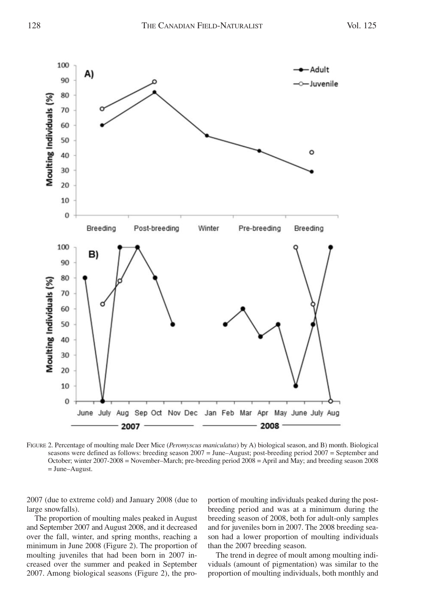

FIGURE 2. Percentage of moulting male Deer Mice (*Peromyscus maniculatus*) by A) biological season, and B) month. Biological seasons were defined as follows: breeding season 2007 = June–August; post-breeding period 2007 = September and October; winter 2007-2008 = November–March; pre-breeding period 2008 = April and May; and breeding season 2008 = June–August.

2007 (due to extreme cold) and January 2008 (due to large snowfalls).

The proportion of moulting males peaked in August and September 2007 and August 2008, and it decreased over the fall, winter, and spring months, reaching a minimum in June 2008 (Figure 2). The proportion of moulting juveniles that had been born in 2007 increased over the summer and peaked in September 2007. Among biological seasons (Figure 2), the proportion of moulting individuals peaked during the postbreeding period and was at a minimum during the breeding season of 2008, both for adult-only samples and for juveniles born in 2007. The 2008 breeding season had a lower proportion of moulting individuals than the 2007 breeding season.

The trend in degree of moult among moulting individuals (amount of pigmentation) was similar to the proportion of moulting individuals, both monthly and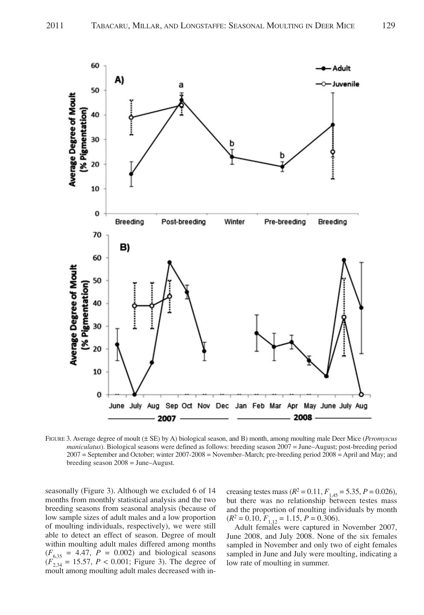

FIGURE 3. Average degree of moult (± SE) by A) biological season, and B) month, among moulting male Deer Mice (*Peromyscus maniculatus*). Biological seasons were defined as follows: breeding season 2007 = June–August; post-breeding period 2007 = September and October; winter 2007-2008 = November–March; pre-breeding period 2008 = April and May; and breeding season 2008 = June–August.

seasonally (Figure 3). Although we excluded 6 of 14 months from monthly statistical analysis and the two breeding seasons from seasonal analysis (because of low sample sizes of adult males and a low proportion of moulting individuals, respectively), we were still able to detect an effect of season. Degree of moult within moulting adult males differed among months  $(F_{6,35} = 4.47, P = 0.002)$  and biological seasons  $(F_{2,34}^{0,55} = 15.57, P < 0.001$ ; Figure 3). The degree of moult among moulting adult males decreased with in-

creasing testes mass  $(R^2 = 0.11, F_{1,45} = 5.35, P = 0.026)$ , but there was no relationship between testes mass and the proportion of moulting individuals by month  $(R^2 = 0.10, F_{1,12} = 1.15, P = 0.306).$ 

Adult females were captured in November 2007, June 2008, and July 2008. None of the six females sampled in November and only two of eight females sampled in June and July were moulting, indicating a low rate of moulting in summer.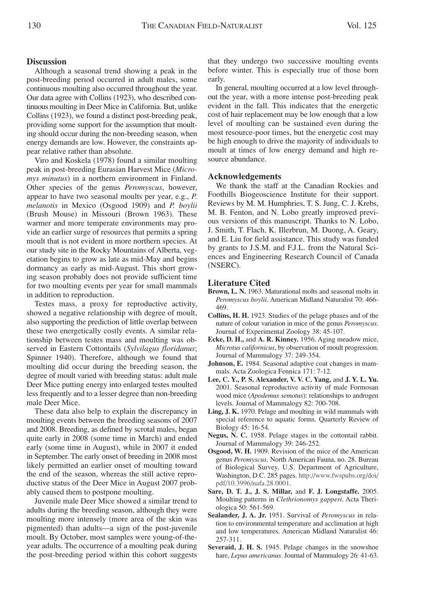# **Discussion**

Although a seasonal trend showing a peak in the post-breeding period occurred in adult males, some continuous moulting also occurred throughout the year. Our data agree with Collins (1923), who described continuous moulting in Deer Mice in California. But, unlike Collins (1923), we found a distinct post-breeding peak, providing some support for the assumption that moulting should occur during the non-breeding season, when energy demands are low. However, the constraints appear relative rather than absolute.

Viro and Koskela (1978) found a similar moulting peak in post-breeding Eurasian Harvest Mice (*Micromys minutus*) in a northern environment in Finland. Other species of the genus *Peromyscus*, however, appear to have two seasonal moults per year, e.g., *P. melanotis* in Mexico (Osgood 1909) and *P. boylii* (Brush Mouse) in Missouri (Brown 1963). These warmer and more temperate environments may provide an earlier surge of resources that permits a spring moult that is not evident in more northern species. At our study site in the Rocky Mountains of Alberta, vegetation begins to grow as late as mid-May and begins dormancy as early as mid-August. This short growing season probably does not provide sufficient time for two moulting events per year for small mammals in addition to reproduction.

Testes mass, a proxy for reproductive activity, showed a negative relationship with degree of moult, also supporting the prediction of little overlap between these two energetically costly events. A similar relationship between testes mass and moulting was observed in Eastern Cottontails (*Sylvilagus floridanus*; Spinner 1940). Therefore, although we found that moulting did occur during the breeding season, the degree of moult varied with breeding status: adult male Deer Mice putting energy into enlarged testes moulted less frequently and to a lesser degree than non-breeding male Deer Mice.

These data also help to explain the discrepancy in moulting events between the breeding seasons of 2007 and 2008. Breeding, as defined by scrotal males, began quite early in 2008 (some time in March) and ended early (some time in August), while in 2007 it ended in September. The early onset of breeding in 2008 most likely permitted an earlier onset of moulting toward the end of the season, whereas the still active reproductive status of the Deer Mice in August 2007 probably caused them to postpone moulting.

Juvenile male Deer Mice showed a similar trend to adults during the breeding season, although they were moulting more intensely (more area of the skin was pigmented) than adults—a sign of the post-juvenile moult. By October, most samples were young-of-theyear adults. The occurrence of a moulting peak during the post-breeding period within this cohort suggests that they undergo two successive moulting events before winter. This is especially true of those born early.

In general, moulting occurred at a low level throughout the year, with a more intense post-breeding peak evident in the fall. This indicates that the energetic cost of hair replacement may be low enough that a low level of moulting can be sustained even during the most resource-poor times, but the energetic cost may be high enough to drive the majority of individuals to moult at times of low energy demand and high resource abundance.

#### **Acknowledgements**

We thank the staff at the Canadian Rockies and Foothills Biogeoscience Institute for their support. Reviews by M. M. Humphries, T. S. Jung, C. J. Krebs, M. B. Fenton, and N. Lobo greatly improved previous versions of this manuscript. Thanks to N. Lobo, J. Smith, T. Flach, K. Illerbrun, M. Duong, A. Geary, and E. Liu for field assistance. This study was funded by grants to J.S.M. and F.J.L. from the Natural Sciences and Engineering Research Council of Canada (NSERC).

## **Literature Cited**

- **Brown, L. N.** 1963. Maturational molts and seasonal molts in *Peromyscus boylii*. American Midland Naturalist 70: 466- 469.
- **Collins, H. H.** 1923. Studies of the pelage phases and of the nature of colour variation in mice of the genus *Peromyscus*. Journal of Experimental Zoology 38: 45-107.
- **Ecke, D. H.,** and **A. R. Kinney.** 1956. Aging meadow mice, *Microtus californicus*, by observation of moult progression. Journal of Mammalogy 37: 249-354.
- **Johnson, E.** 1984. Seasonal adaptive coat changes in mammals. Acta Zoologica Fennica 171: 7-12.
- **Lee, C. Y., P. S. Alexander, V. V. C. Yang,** and **J. Y. L. Yu.** 2001. Seasonal reproductive activity of male Formosan wood mice (*Apodemus semotus*): relationships to androgen levels. Journal of Mammalogy 82: 700-708.
- **Ling, J. K.** 1970. Pelage and moulting in wild mammals with special reference to aquatic forms. Quarterly Review of Biology 45: 16-54.
- **Negus, N. C.** 1958. Pelage stages in the cottontail rabbit. Journal of Mammalogy 39: 246-252.
- **Osgood, W. H.** 1909. Revision of the mice of the American genus *Peromyscus*. North American Fauna, no. 28. Bureau of Biological Survey, U.S. Department of Agriculture, Washington, D.C. 285 pages. http://www.fwspubs.org/doi/ pdf/10.3996/nafa.28.0001.
- **Sare, D. T. J., J. S. Millar,** and **F. J. Longstaffe.** 2005. Moulting patterns in *Clethrionomys gapperi*. Acta Theriologica 50: 561-569.
- **Sealander, J. A. Jr.** 1951. Survival of *Peromyscus* in relation to environmental temperature and acclimation at high and low temperatures. American Midland Naturalist 46: 257-311.
- **Severaid, J. H. S.** 1945. Pelage changes in the snowshoe hare, *Lepus americanus*. Journal of Mammalogy 26: 41-63.